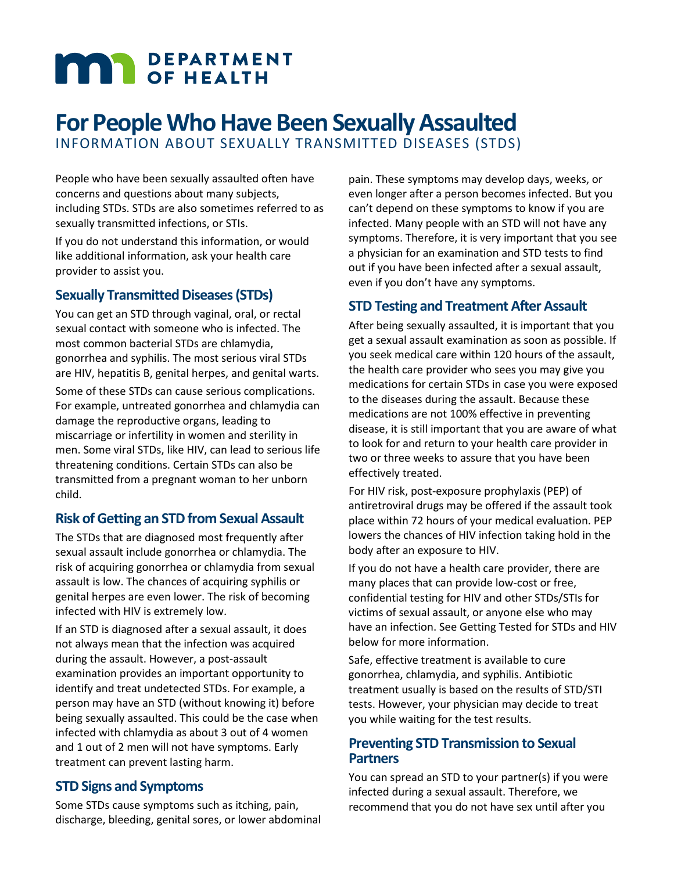# **MAR** DEPARTMENT

# **For People Who Have Been Sexually Assaulted** INFORMATION ABOUT SEXUALLY TRANSMITTED DISEASES (STDS)

People who have been sexually assaulted often have concerns and questions about many subjects, including STDs. STDs are also sometimes referred to as sexually transmitted infections, or STIs.

If you do not understand this information, or would like additional information, ask your health care provider to assist you.

#### **Sexually Transmitted Diseases (STDs)**

You can get an STD through vaginal, oral, or rectal sexual contact with someone who is infected. The most common bacterial STDs are chlamydia, gonorrhea and syphilis. The most serious viral STDs are HIV, hepatitis B, genital herpes, and genital warts.

Some of these STDs can cause serious complications. For example, untreated gonorrhea and chlamydia can damage the reproductive organs, leading to miscarriage or infertility in women and sterility in men. Some viral STDs, like HIV, can lead to serious life threatening conditions. Certain STDs can also be transmitted from a pregnant woman to her unborn child.

## **Risk of Getting an STD from Sexual Assault**

The STDs that are diagnosed most frequently after sexual assault include gonorrhea or chlamydia. The risk of acquiring gonorrhea or chlamydia from sexual assault is low. The chances of acquiring syphilis or genital herpes are even lower. The risk of becoming infected with HIV is extremely low.

If an STD is diagnosed after a sexual assault, it does not always mean that the infection was acquired during the assault. However, a post-assault examination provides an important opportunity to identify and treat undetected STDs. For example, a person may have an STD (without knowing it) before being sexually assaulted. This could be the case when infected with chlamydia as about 3 out of 4 women and 1 out of 2 men will not have symptoms. Early treatment can prevent lasting harm.

## **STD Signs and Symptoms**

Some STDs cause symptoms such as itching, pain, discharge, bleeding, genital sores, or lower abdominal

pain. These symptoms may develop days, weeks, or even longer after a person becomes infected. But you can't depend on these symptoms to know if you are infected. Many people with an STD will not have any symptoms. Therefore, it is very important that you see a physician for an examination and STD tests to find out if you have been infected after a sexual assault, even if you don't have any symptoms.

## **STD Testing and Treatment After Assault**

After being sexually assaulted, it is important that you get a sexual assault examination as soon as possible. If you seek medical care within 120 hours of the assault, the health care provider who sees you may give you medications for certain STDs in case you were exposed to the diseases during the assault. Because these medications are not 100% effective in preventing disease, it is still important that you are aware of what to look for and return to your health care provider in two or three weeks to assure that you have been effectively treated.

For HIV risk, post-exposure prophylaxis (PEP) of antiretroviral drugs may be offered if the assault took place within 72 hours of your medical evaluation. PEP lowers the chances of HIV infection taking hold in the body after an exposure to HIV.

If you do not have a health care provider, there are many places that can provide low-cost or free, confidential testing for HIV and other STDs/STIs for victims of sexual assault, or anyone else who may have an infection. See Getting Tested for STDs and HIV below for more information.

Safe, effective treatment is available to cure gonorrhea, chlamydia, and syphilis. Antibiotic treatment usually is based on the results of STD/STI tests. However, your physician may decide to treat you while waiting for the test results.

#### **Preventing STD Transmission to Sexual Partners**

You can spread an STD to your partner(s) if you were infected during a sexual assault. Therefore, we recommend that you do not have sex until after you